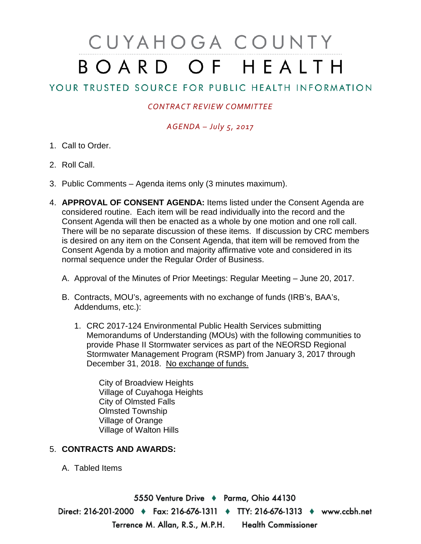# CUYAHOGA COUNTY BOARD OF HEALTH

## YOUR TRUSTED SOURCE FOR PUBLIC HEALTH INFORMATION

#### *CONTRACT REVIEW COMMITTEE*

### *AGENDA – July 5, 2017*

- 1. Call to Order.
- 2. Roll Call.
- 3. Public Comments Agenda items only (3 minutes maximum).
- 4. **APPROVAL OF CONSENT AGENDA:** Items listed under the Consent Agenda are considered routine. Each item will be read individually into the record and the Consent Agenda will then be enacted as a whole by one motion and one roll call. There will be no separate discussion of these items. If discussion by CRC members is desired on any item on the Consent Agenda, that item will be removed from the Consent Agenda by a motion and majority affirmative vote and considered in its normal sequence under the Regular Order of Business.
	- A. Approval of the Minutes of Prior Meetings: Regular Meeting June 20, 2017.
	- B. Contracts, MOU's, agreements with no exchange of funds (IRB's, BAA's, Addendums, etc.):
		- 1. CRC 2017-124 Environmental Public Health Services submitting Memorandums of Understanding (MOUs) with the following communities to provide Phase II Stormwater services as part of the NEORSD Regional Stormwater Management Program (RSMP) from January 3, 2017 through December 31, 2018. No exchange of funds.

City of Broadview Heights Village of Cuyahoga Heights City of Olmsted Falls Olmsted Township Village of Orange Village of Walton Hills

#### 5. **CONTRACTS AND AWARDS:**

A. Tabled Items

5550 Venture Drive + Parma, Ohio 44130 Direct: 216-201-2000 • Fax: 216-676-1311 • TTY: 216-676-1313 • www.ccbh.net Terrence M. Allan, R.S., M.P.H. Health Commissioner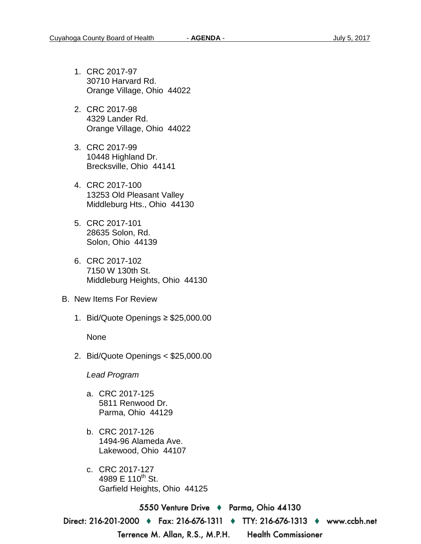- 1. CRC 2017-97 30710 Harvard Rd. Orange Village, Ohio 44022
- 2. CRC 2017-98 4329 Lander Rd. Orange Village, Ohio 44022
- 3. CRC 2017-99 10448 Highland Dr. Brecksville, Ohio 44141
- 4. CRC 2017-100 13253 Old Pleasant Valley Middleburg Hts., Ohio 44130
- 5. CRC 2017-101 28635 Solon, Rd. Solon, Ohio 44139
- 6. CRC 2017-102 7150 W 130th St. Middleburg Heights, Ohio 44130
- B. New Items For Review
	- 1. Bid/Quote Openings ≥ \$25,000.00

None

2. Bid/Quote Openings < \$25,000.00

*Lead Program* 

- a. CRC 2017-125 5811 Renwood Dr. Parma, Ohio 44129
- b. CRC 2017-126 1494-96 Alameda Ave. Lakewood, Ohio 44107
- c. CRC 2017-127 4989 E 110<sup>th</sup> St. Garfield Heights, Ohio 44125

5550 Venture Drive ♦ Parma, Ohio 44130 Direct: 216-201-2000 ♦ Fax: 216-676-1311 ♦ TTY: 216-676-1313 ♦ www.ccbh.net Terrence M. Allan, R.S., M.P.H. **Health Commissioner**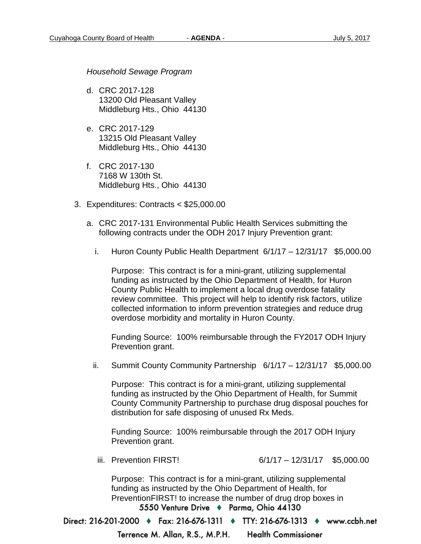*Household Sewage Program* 

- d. CRC 2017-128 13200 Old Pleasant Valley Middleburg Hts., Ohio 44130
- e. CRC 2017-129 13215 Old Pleasant Valley Middleburg Hts., Ohio 44130
- f. CRC 2017-130 7168 W 130th St. Middleburg Hts., Ohio 44130
- 3. Expenditures: Contracts < \$25,000.00
	- a. CRC 2017-131 Environmental Public Health Services submitting the following contracts under the ODH 2017 Injury Prevention grant:
		- i. Huron County Public Health Department 6/1/17 12/31/17 \$5,000.00

Purpose: This contract is for a mini-grant, utilizing supplemental funding as instructed by the Ohio Department of Health, for Huron County Public Health to implement a local drug overdose fatality review committee. This project will help to identify risk factors, utilize collected information to inform prevention strategies and reduce drug overdose morbidity and mortality in Huron County.

Funding Source: 100% reimbursable through the FY2017 ODH Injury Prevention grant.

ii. Summit County Community Partnership 6/1/17 – 12/31/17 \$5,000.00

Purpose: This contract is for a mini-grant, utilizing supplemental funding as instructed by the Ohio Department of Health, for Summit County Community Partnership to purchase drug disposal pouches for distribution for safe disposing of unused Rx Meds.

Funding Source: 100% reimbursable through the 2017 ODH Injury Prevention grant.

iii. Prevention FIRST! 6/1/17 – 12/31/17 \$5,000.00

Purpose: This contract is for a mini-grant, utilizing supplemental funding as instructed by the Ohio Department of Health, for PreventionFIRST! to increase the number of drug drop boxes in 5550 Venture Drive + Parma, Ohio 44130

Direct: 216-201-2000 ♦ Fax: 216-676-1311 ♦ TTY: 216-676-1313 ♦ www.ccbh.net

**Health Commissioner** Terrence M. Allan, R.S., M.P.H.